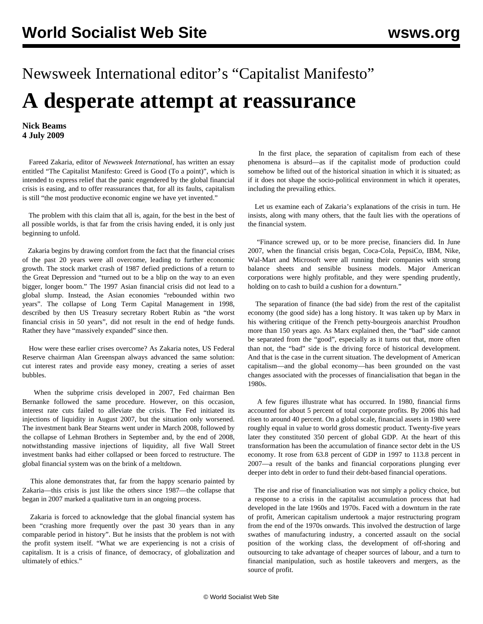## Newsweek International editor's "Capitalist Manifesto" **A desperate attempt at reassurance**

**Nick Beams 4 July 2009**

 Fareed Zakaria, editor of *Newsweek International*, has written an essay entitled "The Capitalist Manifesto: Greed is Good (To a point)", which is intended to express relief that the panic engendered by the global financial crisis is easing, and to offer reassurances that, for all its faults, capitalism is still "the most productive economic engine we have yet invented."

 The problem with this claim that all is, again, for the best in the best of all possible worlds, is that far from the crisis having ended, it is only just beginning to unfold.

 Zakaria begins by drawing comfort from the fact that the financial crises of the past 20 years were all overcome, leading to further economic growth. The stock market crash of 1987 defied predictions of a return to the Great Depression and "turned out to be a blip on the way to an even bigger, longer boom." The 1997 Asian financial crisis did not lead to a global slump. Instead, the Asian economies "rebounded within two years". The collapse of Long Term Capital Management in 1998, described by then US Treasury secretary Robert Rubin as "the worst financial crisis in 50 years", did not result in the end of hedge funds. Rather they have "massively expanded" since then.

 How were these earlier crises overcome? As Zakaria notes, US Federal Reserve chairman Alan Greenspan always advanced the same solution: cut interest rates and provide easy money, creating a series of asset bubbles.

 When the subprime crisis developed in 2007, Fed chairman Ben Bernanke followed the same procedure. However, on this occasion, interest rate cuts failed to alleviate the crisis. The Fed initiated its injections of liquidity in August 2007, but the situation only worsened. The investment bank Bear Stearns went under in March 2008, followed by the collapse of Lehman Brothers in September and, by the end of 2008, notwithstanding massive injections of liquidity, all five Wall Street investment banks had either collapsed or been forced to restructure. The global financial system was on the brink of a meltdown.

 This alone demonstrates that, far from the happy scenario painted by Zakaria—this crisis is just like the others since 1987—the collapse that began in 2007 marked a qualitative turn in an ongoing process.

 Zakaria is forced to acknowledge that the global financial system has been "crashing more frequently over the past 30 years than in any comparable period in history". But he insists that the problem is not with the profit system itself. "What we are experiencing is not a crisis of capitalism. It is a crisis of finance, of democracy, of globalization and ultimately of ethics."

 In the first place, the separation of capitalism from each of these phenomena is absurd—as if the capitalist mode of production could somehow be lifted out of the historical situation in which it is situated; as if it does not shape the socio-political environment in which it operates, including the prevailing ethics.

 Let us examine each of Zakaria's explanations of the crisis in turn. He insists, along with many others, that the fault lies with the operations of the financial system.

 "Finance screwed up, or to be more precise, financiers did. In June 2007, when the financial crisis began, Coca-Cola, PepsiCo, IBM, Nike, Wal-Mart and Microsoft were all running their companies with strong balance sheets and sensible business models. Major American corporations were highly profitable, and they were spending prudently, holding on to cash to build a cushion for a downturn."

 The separation of finance (the bad side) from the rest of the capitalist economy (the good side) has a long history. It was taken up by Marx in his withering critique of the French petty-bourgeois anarchist Proudhon more than 150 years ago. As Marx explained then, the "bad" side cannot be separated from the "good", especially as it turns out that, more often than not, the "bad" side is the driving force of historical development. And that is the case in the current situation. The development of American capitalism—and the global economy—has been grounded on the vast changes associated with the processes of financialisation that began in the 1980s.

 A few figures illustrate what has occurred. In 1980, financial firms accounted for about 5 percent of total corporate profits. By 2006 this had risen to around 40 percent. On a global scale, financial assets in 1980 were roughly equal in value to world gross domestic product. Twenty-five years later they constituted 350 percent of global GDP. At the heart of this transformation has been the accumulation of finance sector debt in the US economy. It rose from 63.8 percent of GDP in 1997 to 113.8 percent in 2007—a result of the banks and financial corporations plunging ever deeper into debt in order to fund their debt-based financial operations.

 The rise and rise of financialisation was not simply a policy choice, but a response to a crisis in the capitalist accumulation process that had developed in the late 1960s and 1970s. Faced with a downturn in the rate of profit, American capitalism undertook a major restructuring program from the end of the 1970s onwards. This involved the destruction of large swathes of manufacturing industry, a concerted assault on the social position of the working class, the development of off-shoring and outsourcing to take advantage of cheaper sources of labour, and a turn to financial manipulation, such as hostile takeovers and mergers, as the source of profit.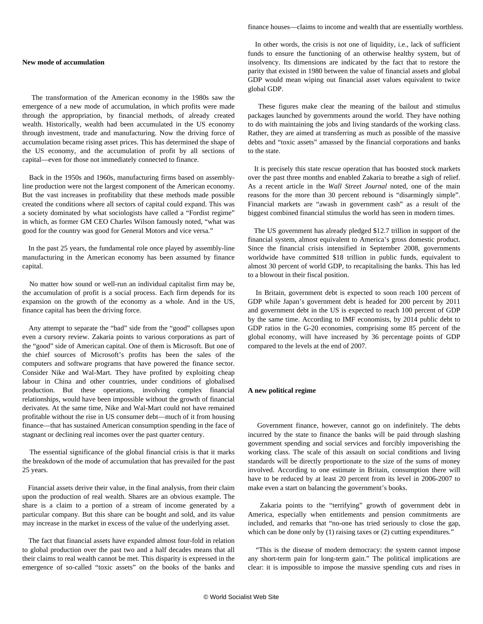## **New mode of accumulation**

 The transformation of the American economy in the 1980s saw the emergence of a new mode of accumulation, in which profits were made through the appropriation, by financial methods, of already created wealth. Historically, wealth had been accumulated in the US economy through investment, trade and manufacturing. Now the driving force of accumulation became rising asset prices. This has determined the shape of the US economy, and the accumulation of profit by all sections of capital—even for those not immediately connected to finance.

 Back in the 1950s and 1960s, manufacturing firms based on assemblyline production were not the largest component of the American economy. But the vast increases in profitability that these methods made possible created the conditions where all sectors of capital could expand. This was a society dominated by what sociologists have called a "Fordist regime" in which, as former GM CEO Charles Wilson famously noted, "what was good for the country was good for General Motors and vice versa."

 In the past 25 years, the fundamental role once played by assembly-line manufacturing in the American economy has been assumed by finance capital.

 No matter how sound or well-run an individual capitalist firm may be, the accumulation of profit is a social process. Each firm depends for its expansion on the growth of the economy as a whole. And in the US, finance capital has been the driving force.

 Any attempt to separate the "bad" side from the "good" collapses upon even a cursory review. Zakaria points to various corporations as part of the "good" side of American capital. One of them is Microsoft. But one of the chief sources of Microsoft's profits has been the sales of the computers and software programs that have powered the finance sector. Consider Nike and Wal-Mart. They have profited by exploiting cheap labour in China and other countries, under conditions of globalised production. But these operations, involving complex financial relationships, would have been impossible without the growth of financial derivates. At the same time, Nike and Wal-Mart could not have remained profitable without the rise in US consumer debt—much of it from housing finance—that has sustained American consumption spending in the face of stagnant or declining real incomes over the past quarter century.

 The essential significance of the global financial crisis is that it marks the breakdown of the mode of accumulation that has prevailed for the past 25 years.

 Financial assets derive their value, in the final analysis, from their claim upon the production of real wealth. Shares are an obvious example. The share is a claim to a portion of a stream of income generated by a particular company. But this share can be bought and sold, and its value may increase in the market in excess of the value of the underlying asset.

 The fact that financial assets have expanded almost four-fold in relation to global production over the past two and a half decades means that all their claims to real wealth cannot be met. This disparity is expressed in the emergence of so-called "toxic assets" on the books of the banks and finance houses—claims to income and wealth that are essentially worthless.

 In other words, the crisis is not one of liquidity, i.e., lack of sufficient funds to ensure the functioning of an otherwise healthy system, but of insolvency. Its dimensions are indicated by the fact that to restore the parity that existed in 1980 between the value of financial assets and global GDP would mean wiping out financial asset values equivalent to twice global GDP.

 These figures make clear the meaning of the bailout and stimulus packages launched by governments around the world. They have nothing to do with maintaining the jobs and living standards of the working class. Rather, they are aimed at transferring as much as possible of the massive debts and "toxic assets" amassed by the financial corporations and banks to the state.

 It is precisely this state rescue operation that has boosted stock markets over the past three months and enabled Zakaria to breathe a sigh of relief. As a recent article in the *Wall Street Journal* noted, one of the main reasons for the more than 30 percent rebound is "disarmingly simple". Financial markets are "awash in government cash" as a result of the biggest combined financial stimulus the world has seen in modern times.

 The US government has already pledged \$12.7 trillion in support of the financial system, almost equivalent to America's gross domestic product. Since the financial crisis intensified in September 2008, governments worldwide have committed \$18 trillion in public funds, equivalent to almost 30 percent of world GDP, to recapitalising the banks. This has led to a blowout in their fiscal position.

 In Britain, government debt is expected to soon reach 100 percent of GDP while Japan's government debt is headed for 200 percent by 2011 and government debt in the US is expected to reach 100 percent of GDP by the same time. According to IMF economists, by 2014 public debt to GDP ratios in the G-20 economies, comprising some 85 percent of the global economy, will have increased by 36 percentage points of GDP compared to the levels at the end of 2007.

## **A new political regime**

 Government finance, however, cannot go on indefinitely. The debts incurred by the state to finance the banks will be paid through slashing government spending and social services and forcibly impoverishing the working class. The scale of this assault on social conditions and living standards will be directly proportionate to the size of the sums of money involved. According to one estimate in Britain, consumption there will have to be reduced by at least 20 percent from its level in 2006-2007 to make even a start on balancing the government's books.

 Zakaria points to the "terrifying" growth of government debt in America, especially when entitlements and pension commitments are included, and remarks that "no-one has tried seriously to close the gap, which can be done only by (1) raising taxes or (2) cutting expenditures."

 "This is the disease of modern democracy: the system cannot impose any short-term pain for long-term gain." The political implications are clear: it is impossible to impose the massive spending cuts and rises in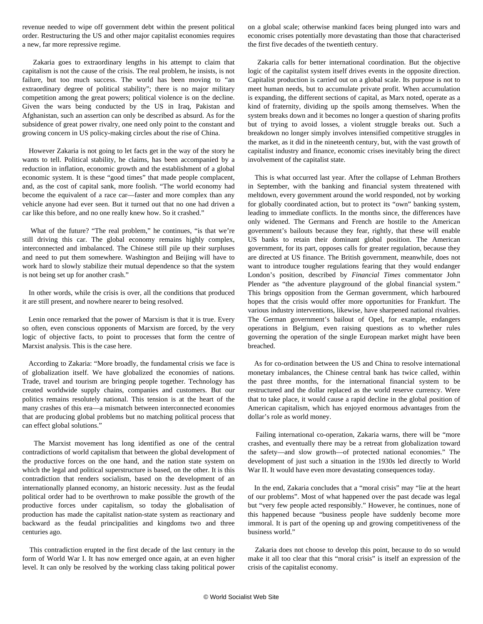revenue needed to wipe off government debt within the present political order. Restructuring the US and other major capitalist economies requires a new, far more repressive regime.

 Zakaria goes to extraordinary lengths in his attempt to claim that capitalism is not the cause of the crisis. The real problem, he insists, is not failure, but too much success. The world has been moving to "an extraordinary degree of political stability"; there is no major military competition among the great powers; political violence is on the decline. Given the wars being conducted by the US in Iraq, Pakistan and Afghanistan, such an assertion can only be described as absurd. As for the subsidence of great power rivalry, one need only point to the constant and growing concern in US policy-making circles about the rise of China.

 However Zakaria is not going to let facts get in the way of the story he wants to tell. Political stability, he claims, has been accompanied by a reduction in inflation, economic growth and the establishment of a global economic system. It is these "good times" that made people complacent, and, as the cost of capital sank, more foolish. "The world economy had become the equivalent of a race car—faster and more complex than any vehicle anyone had ever seen. But it turned out that no one had driven a car like this before, and no one really knew how. So it crashed."

 What of the future? "The real problem," he continues, "is that we're still driving this car. The global economy remains highly complex, interconnected and imbalanced. The Chinese still pile up their surpluses and need to put them somewhere. Washington and Beijing will have to work hard to slowly stabilize their mutual dependence so that the system is not being set up for another crash."

 In other words, while the crisis is over, all the conditions that produced it are still present, and nowhere nearer to being resolved.

 Lenin once remarked that the power of Marxism is that it is true. Every so often, even conscious opponents of Marxism are forced, by the very logic of objective facts, to point to processes that form the centre of Marxist analysis. This is the case here.

 According to Zakaria: "More broadly, the fundamental crisis we face is of globalization itself. We have globalized the economies of nations. Trade, travel and tourism are bringing people together. Technology has created worldwide supply chains, companies and customers. But our politics remains resolutely national. This tension is at the heart of the many crashes of this era—a mismatch between interconnected economies that are producing global problems but no matching political process that can effect global solutions."

 The Marxist movement has long identified as one of the central contradictions of world capitalism that between the global development of the productive forces on the one hand, and the nation state system on which the legal and political superstructure is based, on the other. It is this contradiction that renders socialism, based on the development of an internationally planned economy, an historic necessity. Just as the feudal political order had to be overthrown to make possible the growth of the productive forces under capitalism, so today the globalisation of production has made the capitalist nation-state system as reactionary and backward as the feudal principalities and kingdoms two and three centuries ago.

 This contradiction erupted in the first decade of the last century in the form of World War I. It has now emerged once again, at an even higher level. It can only be resolved by the working class taking political power on a global scale; otherwise mankind faces being plunged into wars and economic crises potentially more devastating than those that characterised the first five decades of the twentieth century.

 Zakaria calls for better international coordination. But the objective logic of the capitalist system itself drives events in the opposite direction. Capitalist production is carried out on a global scale. Its purpose is not to meet human needs, but to accumulate private profit. When accumulation is expanding, the different sections of capital, as Marx noted, operate as a kind of fraternity, dividing up the spoils among themselves. When the system breaks down and it becomes no longer a question of sharing profits but of trying to avoid losses, a violent struggle breaks out. Such a breakdown no longer simply involves intensified competitive struggles in the market, as it did in the nineteenth century, but, with the vast growth of capitalist industry and finance, economic crises inevitably bring the direct involvement of the capitalist state.

 This is what occurred last year. After the collapse of Lehman Brothers in September, with the banking and financial system threatened with meltdown, every government around the world responded, not by working for globally coordinated action, but to protect its "own" banking system, leading to immediate conflicts. In the months since, the differences have only widened. The Germans and French are hostile to the American government's bailouts because they fear, rightly, that these will enable US banks to retain their dominant global position. The American government, for its part, opposes calls for greater regulation, because they are directed at US finance. The British government, meanwhile, does not want to introduce tougher regulations fearing that they would endanger London's position, described by *Financial Times* commentator John Plender as "the adventure playground of the global financial system." This brings opposition from the German government, which harboured hopes that the crisis would offer more opportunities for Frankfurt. The various industry interventions, likewise, have sharpened national rivalries. The German government's bailout of Opel, for example, endangers operations in Belgium, even raising questions as to whether rules governing the operation of the single European market might have been breached.

 As for co-ordination between the US and China to resolve international monetary imbalances, the Chinese central bank has twice called, within the past three months, for the international financial system to be restructured and the dollar replaced as the world reserve currency. Were that to take place, it would cause a rapid decline in the global position of American capitalism, which has enjoyed enormous advantages from the dollar's role as world money.

 Failing international co-operation, Zakaria warns, there will be "more crashes, and eventually there may be a retreat from globalization toward the safety—and slow growth—of protected national economies." The development of just such a situation in the 1930s led directly to World War II. It would have even more devastating consequences today.

 In the end, Zakaria concludes that a "moral crisis" may "lie at the heart of our problems". Most of what happened over the past decade was legal but "very few people acted responsibly." However, he continues, none of this happened because "business people have suddenly become more immoral. It is part of the opening up and growing competitiveness of the business world."

 Zakaria does not choose to develop this point, because to do so would make it all too clear that this "moral crisis" is itself an expression of the crisis of the capitalist economy.